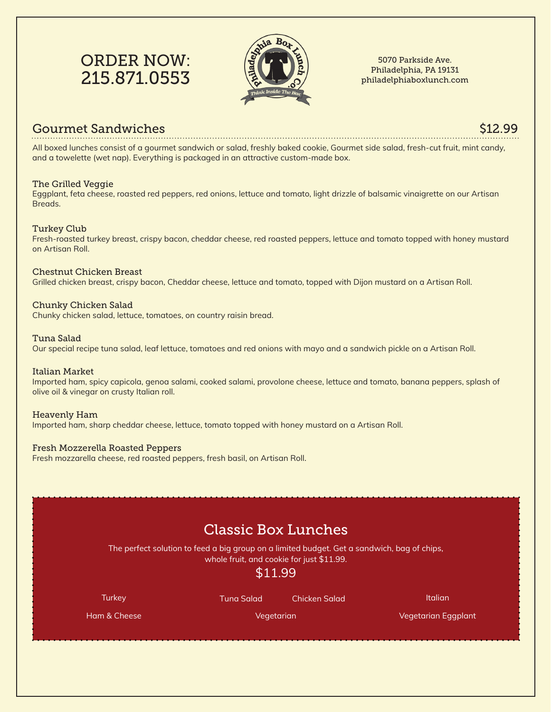# ORDER NOW: 215.871.0553



5070 Parkside Ave. Philadelphia, PA 19131 philadelphiaboxlunch.com

### Gourmet Sandwiches \$12.99

All boxed lunches consist of a gourmet sandwich or salad, freshly baked cookie, Gourmet side salad, fresh-cut fruit, mint candy, and a towelette (wet nap). Everything is packaged in an attractive custom-made box.

### The Grilled Veggie

Eggplant, feta cheese, roasted red peppers, red onions, lettuce and tomato, light drizzle of balsamic vinaigrette on our Artisan Breads.

### Turkey Club

Fresh-roasted turkey breast, crispy bacon, cheddar cheese, red roasted peppers, lettuce and tomato topped with honey mustard on Artisan Roll.

### Chestnut Chicken Breast

Grilled chicken breast, crispy bacon, Cheddar cheese, lettuce and tomato, topped with Dijon mustard on a Artisan Roll.

### Chunky Chicken Salad

Chunky chicken salad, lettuce, tomatoes, on country raisin bread.

### Tuna Salad

Our special recipe tuna salad, leaf lettuce, tomatoes and red onions with mayo and a sandwich pickle on a Artisan Roll.

### Italian Market

Imported ham, spicy capicola, genoa salami, cooked salami, provolone cheese, lettuce and tomato, banana peppers, splash of olive oil & vinegar on crusty Italian roll.

### Heavenly Ham

Imported ham, sharp cheddar cheese, lettuce, tomato topped with honey mustard on a Artisan Roll.

### Fresh Mozzerella Roasted Peppers

Fresh mozzarella cheese, red roasted peppers, fresh basil, on Artisan Roll.

|                                                                                                                                                     | <b>Classic Box Lunches</b> |                      |                     |  |
|-----------------------------------------------------------------------------------------------------------------------------------------------------|----------------------------|----------------------|---------------------|--|
| The perfect solution to feed a big group on a limited budget. Get a sandwich, bag of chips,<br>whole fruit, and cookie for just \$11.99.<br>\$11.99 |                            |                      |                     |  |
| <b>Turkey</b>                                                                                                                                       | <b>Tuna Salad</b>          | <b>Chicken Salad</b> | <b>Italian</b>      |  |
|                                                                                                                                                     |                            | Vegetarian           | Vegetarian Eggplant |  |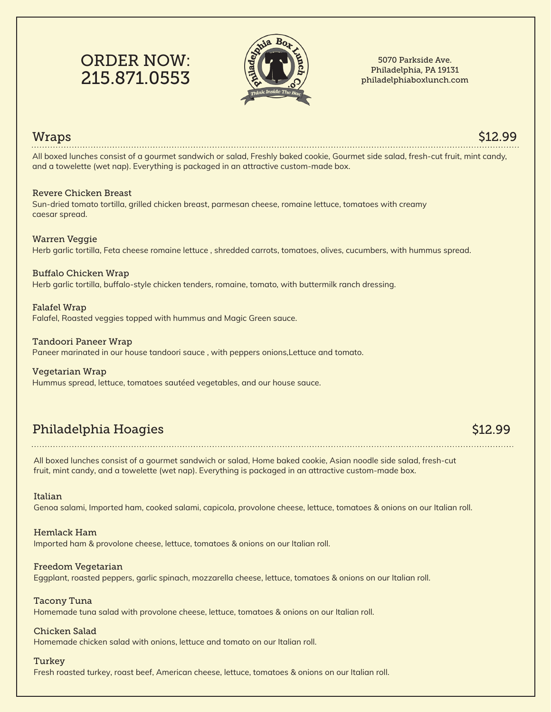# ORDER NOW: 215.871.0553



#### 5070 Parkside Ave. Philadelphia, PA 19131 philadelphiaboxlunch.com

### Wraps \$12.99

All boxed lunches consist of a gourmet sandwich or salad, Freshly baked cookie, Gourmet side salad, fresh-cut fruit, mint candy, and a towelette (wet nap). Everything is packaged in an attractive custom-made box.

### Revere Chicken Breast

Sun-dried tomato tortilla, grilled chicken breast, parmesan cheese, romaine lettuce, tomatoes with creamy caesar spread.

### Warren Veggie

Herb garlic tortilla, Feta cheese romaine lettuce , shredded carrots, tomatoes, olives, cucumbers, with hummus spread.

### Buffalo Chicken Wrap

Herb garlic tortilla, buffalo-style chicken tenders, romaine, tomato, with buttermilk ranch dressing.

### Falafel Wrap

Falafel, Roasted veggies topped with hummus and Magic Green sauce.

#### Tandoori Paneer Wrap

Paneer marinated in our house tandoori sauce , with peppers onions,Lettuce and tomato.

### Vegetarian Wrap

Hummus spread, lettuce, tomatoes sautéed vegetables, and our house sauce.

## Philadelphia Hoagies \$12.99

All boxed lunches consist of a gourmet sandwich or salad, Home baked cookie, Asian noodle side salad, fresh-cut fruit, mint candy, and a towelette (wet nap). Everything is packaged in an attractive custom-made box.

### Italian

Genoa salami, Imported ham, cooked salami, capicola, provolone cheese, lettuce, tomatoes & onions on our Italian roll.

### Hemlack Ham

Imported ham & provolone cheese, lettuce, tomatoes & onions on our Italian roll.

### Freedom Vegetarian

Eggplant, roasted peppers, garlic spinach, mozzarella cheese, lettuce, tomatoes & onions on our Italian roll.

### Tacony Tuna

Homemade tuna salad with provolone cheese, lettuce, tomatoes & onions on our Italian roll.

### Chicken Salad

Homemade chicken salad with onions, lettuce and tomato on our Italian roll.

### **Turkey**

Fresh roasted turkey, roast beef, American cheese, lettuce, tomatoes & onions on our Italian roll.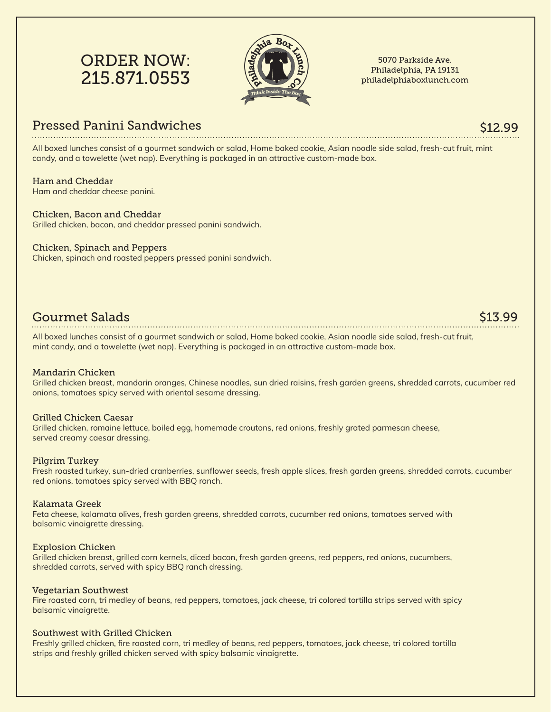# ORDER NOW: 215.871.0553



5070 Parkside Ave. Philadelphia, PA 19131 philadelphiaboxlunch.com

### Pressed Panini Sandwiches

### \$12.99

All boxed lunches consist of a gourmet sandwich or salad, Home baked cookie, Asian noodle side salad, fresh-cut fruit, mint candy, and a towelette (wet nap). Everything is packaged in an attractive custom-made box.

### Ham and Cheddar

Ham and cheddar cheese panini.

### Chicken, Bacon and Cheddar

Grilled chicken, bacon, and cheddar pressed panini sandwich.

### Chicken, Spinach and Peppers

Chicken, spinach and roasted peppers pressed panini sandwich.

### Gourmet Salads

All boxed lunches consist of a gourmet sandwich or salad, Home baked cookie, Asian noodle side salad, fresh-cut fruit, mint candy, and a towelette (wet nap). Everything is packaged in an attractive custom-made box.

### Mandarin Chicken

Grilled chicken breast, mandarin oranges, Chinese noodles, sun dried raisins, fresh garden greens, shredded carrots, cucumber red onions, tomatoes spicy served with oriental sesame dressing.

### Grilled Chicken Caesar

Grilled chicken, romaine lettuce, boiled egg, homemade croutons, red onions, freshly grated parmesan cheese, served creamy caesar dressing.

### Pilgrim Turkey

Fresh roasted turkey, sun-dried cranberries, sunflower seeds, fresh apple slices, fresh garden greens, shredded carrots, cucumber red onions, tomatoes spicy served with BBQ ranch.

### Kalamata Greek

Feta cheese, kalamata olives, fresh garden greens, shredded carrots, cucumber red onions, tomatoes served with balsamic vinaigrette dressing.

### Explosion Chicken

Grilled chicken breast, grilled corn kernels, diced bacon, fresh garden greens, red peppers, red onions, cucumbers, shredded carrots, served with spicy BBQ ranch dressing.

### Vegetarian Southwest

Fire roasted corn, tri medley of beans, red peppers, tomatoes, jack cheese, tri colored tortilla strips served with spicy balsamic vinaigrette.

### Southwest with Grilled Chicken

Freshly grilled chicken, fire roasted corn, tri medley of beans, red peppers, tomatoes, jack cheese, tri colored tortilla strips and freshly grilled chicken served with spicy balsamic vinaigrette.

### \$13.99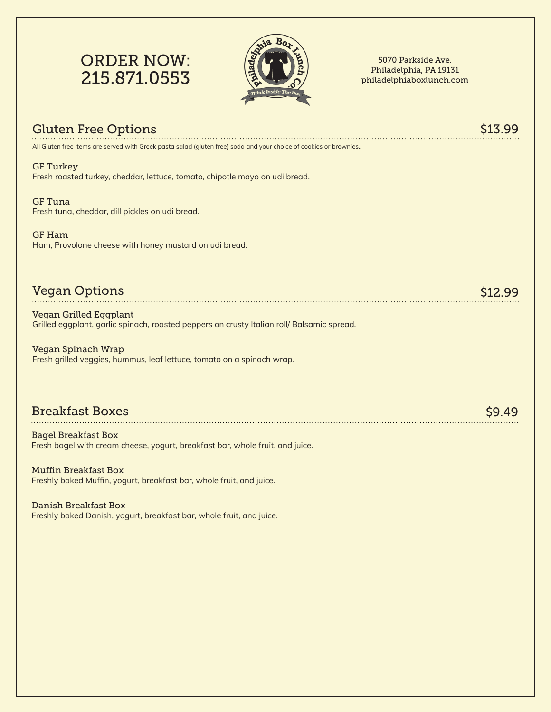



5070 Parkside Ave. Philadelphia, PA 19131 philadelphiaboxlunch.com

| <b>Gluten Free Options</b>                                                                                                  |       |
|-----------------------------------------------------------------------------------------------------------------------------|-------|
| All Gluten free items are served with Greek pasta salad (gluten free) soda and your choice of cookies or brownies           |       |
| <b>GF Turkey</b><br>Fresh roasted turkey, cheddar, lettuce, tomato, chipotle mayo on udi bread.                             |       |
| <b>GF</b> Tuna<br>Fresh tuna, cheddar, dill pickles on udi bread.                                                           |       |
| <b>GF Ham</b><br>Ham, Provolone cheese with honey mustard on udi bread.                                                     |       |
| <b>Vegan Options</b>                                                                                                        |       |
| <b>Vegan Grilled Eggplant</b><br>Grilled eggplant, garlic spinach, roasted peppers on crusty Italian roll/ Balsamic spread. |       |
| <b>Vegan Spinach Wrap</b><br>Fresh grilled veggies, hummus, leaf lettuce, tomato on a spinach wrap.                         |       |
| <b>Breakfast Boxes</b>                                                                                                      | S9.49 |
| <b>Bagel Breakfast Box</b><br>Fresh bagel with cream cheese, yogurt, breakfast bar, whole fruit, and juice.                 |       |
| <b>Muffin Breakfast Box</b><br>Freshly baked Muffin, yogurt, breakfast bar, whole fruit, and juice.                         |       |

Danish Breakfast Box Freshly baked Danish, yogurt, breakfast bar, whole fruit, and juice.